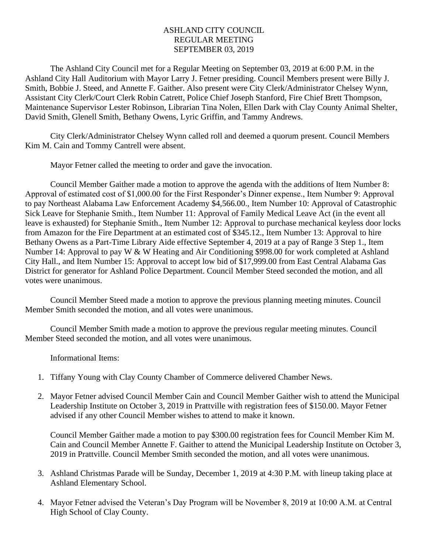## ASHLAND CITY COUNCIL REGULAR MEETING SEPTEMBER 03, 2019

The Ashland City Council met for a Regular Meeting on September 03, 2019 at 6:00 P.M. in the Ashland City Hall Auditorium with Mayor Larry J. Fetner presiding. Council Members present were Billy J. Smith, Bobbie J. Steed, and Annette F. Gaither. Also present were City Clerk/Administrator Chelsey Wynn, Assistant City Clerk/Court Clerk Robin Catrett, Police Chief Joseph Stanford, Fire Chief Brett Thompson, Maintenance Supervisor Lester Robinson, Librarian Tina Nolen, Ellen Dark with Clay County Animal Shelter, David Smith, Glenell Smith, Bethany Owens, Lyric Griffin, and Tammy Andrews.

City Clerk/Administrator Chelsey Wynn called roll and deemed a quorum present. Council Members Kim M. Cain and Tommy Cantrell were absent.

Mayor Fetner called the meeting to order and gave the invocation.

Council Member Gaither made a motion to approve the agenda with the additions of Item Number 8: Approval of estimated cost of \$1,000.00 for the First Responder's Dinner expense., Item Number 9: Approval to pay Northeast Alabama Law Enforcement Academy \$4,566.00., Item Number 10: Approval of Catastrophic Sick Leave for Stephanie Smith., Item Number 11: Approval of Family Medical Leave Act (in the event all leave is exhausted) for Stephanie Smith., Item Number 12: Approval to purchase mechanical keyless door locks from Amazon for the Fire Department at an estimated cost of \$345.12., Item Number 13: Approval to hire Bethany Owens as a Part-Time Library Aide effective September 4, 2019 at a pay of Range 3 Step 1., Item Number 14: Approval to pay W & W Heating and Air Conditioning \$998.00 for work completed at Ashland City Hall., and Item Number 15: Approval to accept low bid of \$17,999.00 from East Central Alabama Gas District for generator for Ashland Police Department. Council Member Steed seconded the motion, and all votes were unanimous.

Council Member Steed made a motion to approve the previous planning meeting minutes. Council Member Smith seconded the motion, and all votes were unanimous.

Council Member Smith made a motion to approve the previous regular meeting minutes. Council Member Steed seconded the motion, and all votes were unanimous.

Informational Items:

- 1. Tiffany Young with Clay County Chamber of Commerce delivered Chamber News.
- 2. Mayor Fetner advised Council Member Cain and Council Member Gaither wish to attend the Municipal Leadership Institute on October 3, 2019 in Prattville with registration fees of \$150.00. Mayor Fetner advised if any other Council Member wishes to attend to make it known.

Council Member Gaither made a motion to pay \$300.00 registration fees for Council Member Kim M. Cain and Council Member Annette F. Gaither to attend the Municipal Leadership Institute on October 3, 2019 in Prattville. Council Member Smith seconded the motion, and all votes were unanimous.

- 3. Ashland Christmas Parade will be Sunday, December 1, 2019 at 4:30 P.M. with lineup taking place at Ashland Elementary School.
- 4. Mayor Fetner advised the Veteran's Day Program will be November 8, 2019 at 10:00 A.M. at Central High School of Clay County.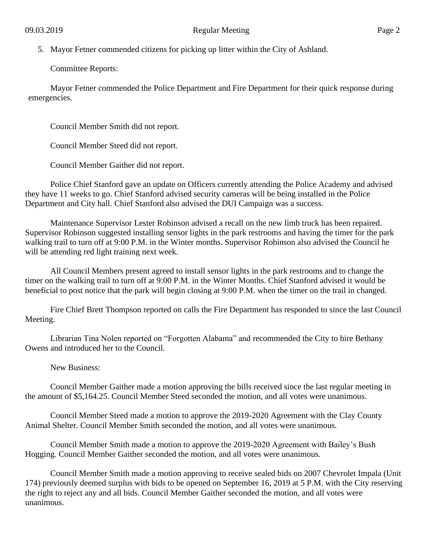5. Mayor Fetner commended citizens for picking up litter within the City of Ashland.

Committee Reports:

Mayor Fetner commended the Police Department and Fire Department for their quick response during emergencies.

Council Member Smith did not report.

Council Member Steed did not report.

Council Member Gaither did not report.

Police Chief Stanford gave an update on Officers currently attending the Police Academy and advised they have 11 weeks to go. Chief Stanford advised security cameras will be being installed in the Police Department and City hall. Chief Stanford also advised the DUI Campaign was a success.

Maintenance Supervisor Lester Robinson advised a recall on the new limb truck has been repaired. Supervisor Robinson suggested installing sensor lights in the park restrooms and having the timer for the park walking trail to turn off at 9:00 P.M. in the Winter months. Supervisor Robinson also advised the Council he will be attending red light training next week.

All Council Members present agreed to install sensor lights in the park restrooms and to change the timer on the walking trail to turn off at 9:00 P.M. in the Winter Months. Chief Stanford advised it would be beneficial to post notice that the park will begin closing at 9:00 P.M. when the timer on the trail in changed.

Fire Chief Brett Thompson reported on calls the Fire Department has responded to since the last Council Meeting.

Librarian Tina Nolen reported on "Forgotten Alabama" and recommended the City to hire Bethany Owens and introduced her to the Council.

New Business:

Council Member Gaither made a motion approving the bills received since the last regular meeting in the amount of \$5,164.25. Council Member Steed seconded the motion, and all votes were unanimous.

Council Member Steed made a motion to approve the 2019-2020 Agreement with the Clay County Animal Shelter. Council Member Smith seconded the motion, and all votes were unanimous.

Council Member Smith made a motion to approve the 2019-2020 Agreement with Bailey's Bush Hogging. Council Member Gaither seconded the motion, and all votes were unanimous.

Council Member Smith made a motion approving to receive sealed bids on 2007 Chevrolet Impala (Unit 174) previously deemed surplus with bids to be opened on September 16, 2019 at 5 P.M. with the City reserving the right to reject any and all bids. Council Member Gaither seconded the motion, and all votes were unanimous.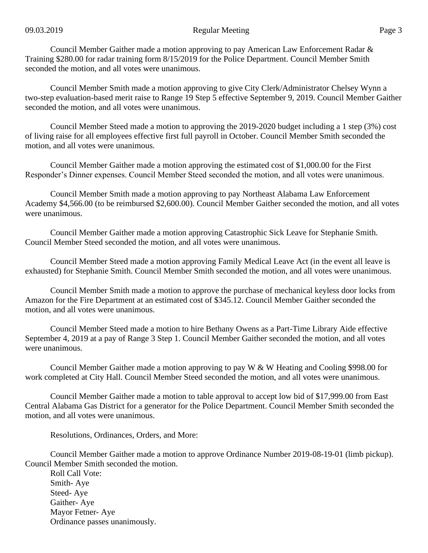Council Member Gaither made a motion approving to pay American Law Enforcement Radar & Training \$280.00 for radar training form 8/15/2019 for the Police Department. Council Member Smith seconded the motion, and all votes were unanimous.

Council Member Smith made a motion approving to give City Clerk/Administrator Chelsey Wynn a two-step evaluation-based merit raise to Range 19 Step 5 effective September 9, 2019. Council Member Gaither seconded the motion, and all votes were unanimous.

Council Member Steed made a motion to approving the 2019-2020 budget including a 1 step (3%) cost of living raise for all employees effective first full payroll in October. Council Member Smith seconded the motion, and all votes were unanimous.

Council Member Gaither made a motion approving the estimated cost of \$1,000.00 for the First Responder's Dinner expenses. Council Member Steed seconded the motion, and all votes were unanimous.

Council Member Smith made a motion approving to pay Northeast Alabama Law Enforcement Academy \$4,566.00 (to be reimbursed \$2,600.00). Council Member Gaither seconded the motion, and all votes were unanimous.

Council Member Gaither made a motion approving Catastrophic Sick Leave for Stephanie Smith. Council Member Steed seconded the motion, and all votes were unanimous.

Council Member Steed made a motion approving Family Medical Leave Act (in the event all leave is exhausted) for Stephanie Smith. Council Member Smith seconded the motion, and all votes were unanimous.

Council Member Smith made a motion to approve the purchase of mechanical keyless door locks from Amazon for the Fire Department at an estimated cost of \$345.12. Council Member Gaither seconded the motion, and all votes were unanimous.

Council Member Steed made a motion to hire Bethany Owens as a Part-Time Library Aide effective September 4, 2019 at a pay of Range 3 Step 1. Council Member Gaither seconded the motion, and all votes were unanimous.

Council Member Gaither made a motion approving to pay W & W Heating and Cooling \$998.00 for work completed at City Hall. Council Member Steed seconded the motion, and all votes were unanimous.

Council Member Gaither made a motion to table approval to accept low bid of \$17,999.00 from East Central Alabama Gas District for a generator for the Police Department. Council Member Smith seconded the motion, and all votes were unanimous.

Resolutions, Ordinances, Orders, and More:

Council Member Gaither made a motion to approve Ordinance Number 2019-08-19-01 (limb pickup). Council Member Smith seconded the motion.

Roll Call Vote: Smith- Aye Steed- Aye Gaither- Aye Mayor Fetner- Aye Ordinance passes unanimously.